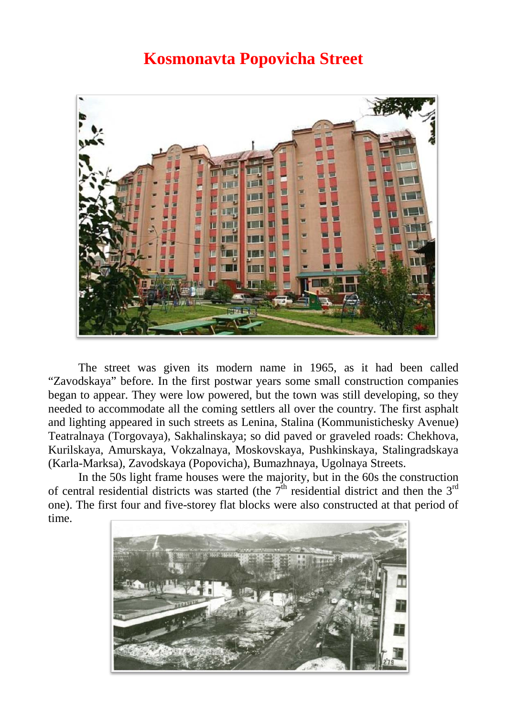## **Kosmonavta Popovicha Street**



The street was given its modern name in 1965, as it had been called "Zavodskaya" before. In the first postwar years some small construction companies began to appear. They were low powered, but the town was still developing, so they needed to accommodate all the coming settlers all over the country. The first asphalt and lighting appeared in such streets as Lenina, Stalina (Kommunistichesky Avenue) Teatralnaya (Torgovaya), Sakhalinskaya; so did paved or graveled roads: Chekhova, Kurilskaya, Amurskaya, Vokzalnaya, Moskovskaya, Pushkinskaya, Stalingradskaya (Karla-Marksa), Zavodskaya (Popovicha), Bumazhnaya, Ugolnaya Streets.

In the 50s light frame houses were the majority, but in the 60s the construction of central residential districts was started (the  $7<sup>th</sup>$  residential district and then the 3<sup>rd</sup> one). The first four and five-storey flat blocks were also constructed at that period of time.

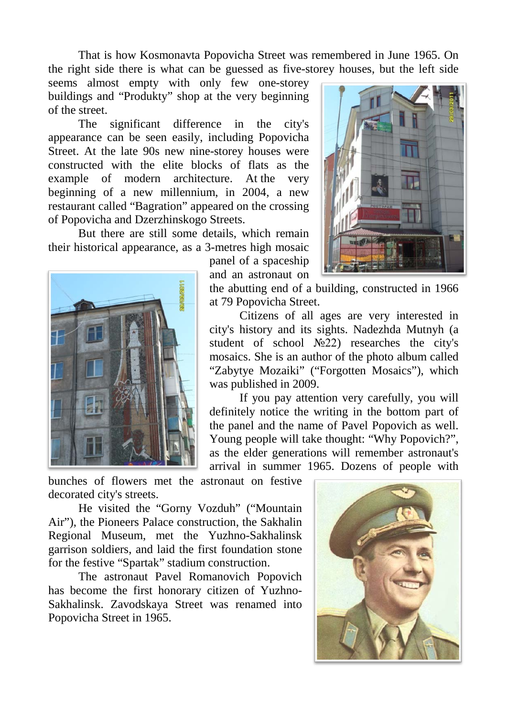That is how Kosmonavta Popovicha Street was remembered in June 1965. On the right side there is what can be guessed as five-storey houses, but the left side

seems almost empty with only few one-storey buildings and "Produkty" shop at the very beginning of the street.

The significant difference in the city's appearance can be seen easily, including Popovicha Street. At the late 90s new nine-storey houses were constructed with the elite blocks of flats as the example of modern architecture. At the very beginning of a new millennium, in 2004, a new restaurant called "Bagration" appeared on the crossing of Popovicha and Dzerzhinskogo Streets.

But there are still some details, which remain their historical appearance, as a 3-metres high mosaic



panel of a spaceship and an astronaut on

the abutting end of a building, constructed in 1966 at 79 Popovicha Street.

Citizens of all ages are very interested in city's history and its sights. Nadezhda Mutnyh (a student of school №22) researches the city's mosaics. She is an author of the photo album called "Zabytye Mozaiki" ("Forgotten Mosaics"), which was published in 2009.

If you pay attention very carefully, you will definitely notice the writing in the bottom part of the panel and the name of Pavel Popovich as well. Young people will take thought: "Why Popovich?", as the elder generations will remember astronaut's arrival in summer 1965. Dozens of people with

bunches of flowers met the astronaut on festive decorated city's streets.

He visited the "Gorny Vozduh" ("Mountain Air"), the Pioneers Palace construction, the Sakhalin Regional Museum, met the Yuzhno-Sakhalinsk garrison soldiers, and laid the first foundation stone for the festive "Spartak" stadium construction.

The astronaut Pavel Romanovich Popovich has become the first honorary citizen of Yuzhno-Sakhalinsk. Zavodskaya Street was renamed into Popovicha Street in 1965.